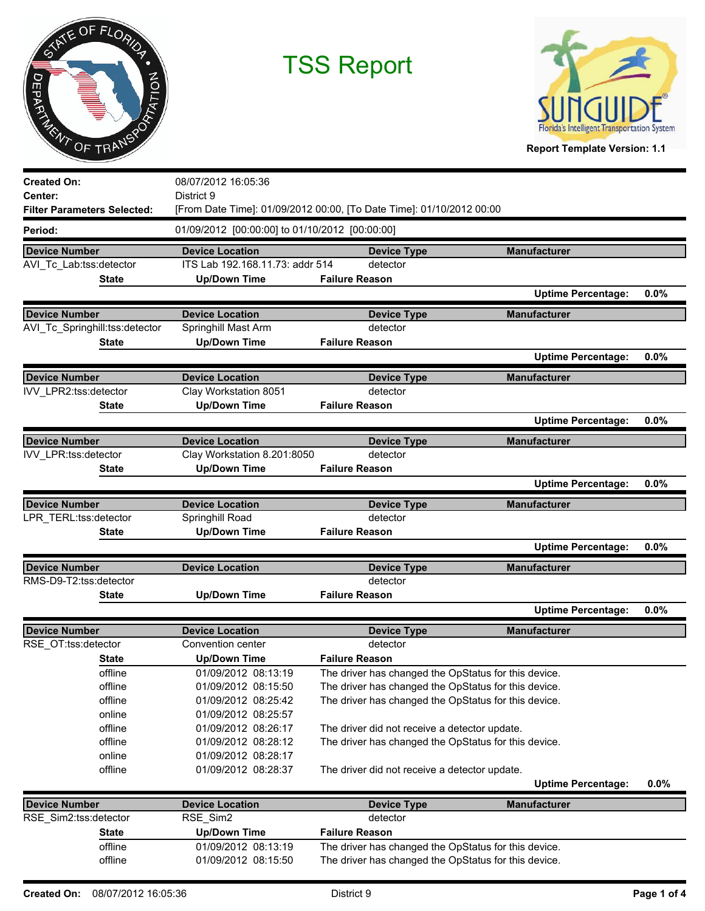



**Created On: Center:** 08/07/2012 16:05:36 District 9 **Filter Parameters Selected:** [From Date Time]: 01/09/2012 00:00, [To Date Time]: 01/10/2012 00:00 **Period:** 01/09/2012 [00:00:00] to 01/10/2012 [00:00:00]  **Device Number Device Location Device Type Manufacturer** AVI\_Tc\_Lab:tss:detector ITS Lab 192.168.11.73: addr 514 detector **State Up/Down Time Failure Reason Uptime Percentage: 0.0% Device Number Device Location Device Type Manufacturer** AVI\_Tc\_Springhill:tss:detector Springhill Mast Arm detector **State Up/Down Time Failure Reason Uptime Percentage: 0.0% Device Number Device Location Device Type Manufacturer** IVV\_LPR2:tss:detector Clay Workstation 8051 detector **State Up/Down Time Failure Reason Uptime Percentage: 0.0% Device Number Device Location Device Type Manufacturer** IVV\_LPR:tss:detector Clay Workstation 8.201:8050 detector **State Up/Down Time Failure Reason Uptime Percentage: 0.0% Device Number Device Location Device Type Manufacturer** LPR\_TERL:tss:detector Springhill Road Cass detector **State Up/Down Time Failure Reason Uptime Percentage: 0.0% Device Number Device Location Device Type Manufacturer** RMS-D9-T2:tss:detector detector **State Up/Down Time Failure Reason Uptime Percentage: 0.0% Device Number Device Location Device Type Manufacturer** RSE\_OT:tss:detector Convention center detector **State Up/Down Time Failure Reason** offline 01/09/2012 08:13:19 The driver has changed the OpStatus for this device. offline 01/09/2012 08:15:50 The driver has changed the OpStatus for this device. offline 01/09/2012 08:25:42 The driver has changed the OpStatus for this device. online 01/09/2012 08:25:57 offline 01/09/2012 08:26:17 The driver did not receive a detector update. offline 01/09/2012 08:28:12 The driver has changed the OpStatus for this device. online 01/09/2012 08:28:17 offline 01/09/2012 08:28:37 The driver did not receive a detector update. **Uptime Percentage: 0.0% Device Number Device Location Device Type Manufacturer** RSE\_Sim2:tss:detector RSE\_Sim2 detector **State Up/Down Time Failure Reason** offline 01/09/2012 08:13:19 The driver has changed the OpStatus for this device. offline 01/09/2012 08:15:50 The driver has changed the OpStatus for this device.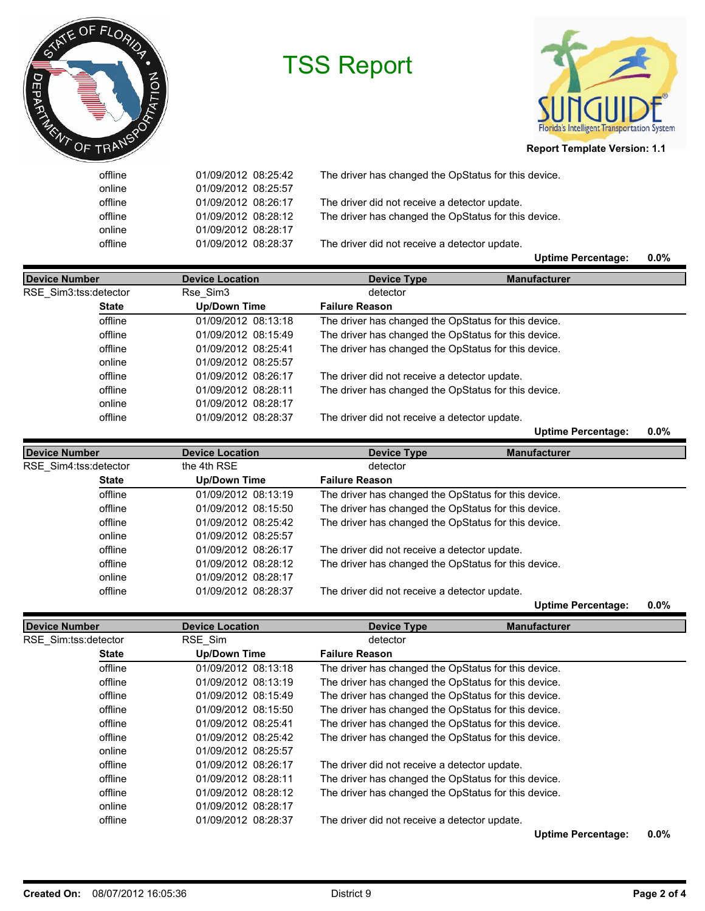



## **Report Template Version: 1.1**

| online<br>offline | 01/09/2012 08:25:57<br>01/09/2012 08:26:17 | The driver did not receive a detector update.        |      |
|-------------------|--------------------------------------------|------------------------------------------------------|------|
|                   |                                            |                                                      |      |
| offline           | 01/09/2012 08:28:12                        | The driver has changed the OpStatus for this device. |      |
| online            | 01/09/2012 08:28:17                        |                                                      |      |
| offline           | 01/09/2012 08:28:37                        | The driver did not receive a detector update.        |      |
|                   |                                            | <b>Uptime Percentage:</b>                            | 0.0% |

| Device Number         | <b>Device Location</b> | <b>Device Type</b>                                   | <b>Manufacturer</b>       |         |
|-----------------------|------------------------|------------------------------------------------------|---------------------------|---------|
| RSE Sim3:tss:detector | Rse Sim3               | detector                                             |                           |         |
| <b>State</b>          | <b>Up/Down Time</b>    | <b>Failure Reason</b>                                |                           |         |
| offline               | 01/09/2012 08:13:18    | The driver has changed the OpStatus for this device. |                           |         |
| offline               | 01/09/2012 08:15:49    | The driver has changed the OpStatus for this device. |                           |         |
| offline               | 01/09/2012 08:25:41    | The driver has changed the OpStatus for this device. |                           |         |
| online                | 01/09/2012 08:25:57    |                                                      |                           |         |
| offline               | 01/09/2012 08:26:17    | The driver did not receive a detector update.        |                           |         |
| offline               | 01/09/2012 08:28:11    | The driver has changed the OpStatus for this device. |                           |         |
| online                | 01/09/2012 08:28:17    |                                                      |                           |         |
| offline               | 01/09/2012 08:28:37    | The driver did not receive a detector update.        |                           |         |
|                       |                        |                                                      | <b>Uptime Percentage:</b> | $0.0\%$ |

| <b>Device Number</b>  | <b>Device Location</b> | Device Type                                          | <b>Manufacturer</b> |  |
|-----------------------|------------------------|------------------------------------------------------|---------------------|--|
| RSE Sim4:tss:detector | the 4th RSE            | detector                                             |                     |  |
| <b>State</b>          | <b>Up/Down Time</b>    | <b>Failure Reason</b>                                |                     |  |
| offline               | 01/09/2012 08:13:19    | The driver has changed the OpStatus for this device. |                     |  |
| offline               | 01/09/2012 08:15:50    | The driver has changed the OpStatus for this device. |                     |  |
| offline               | 01/09/2012 08:25:42    | The driver has changed the OpStatus for this device. |                     |  |
| online                | 01/09/2012 08:25:57    |                                                      |                     |  |
| offline               | 01/09/2012 08:26:17    | The driver did not receive a detector update.        |                     |  |
| offline               | 01/09/2012 08:28:12    | The driver has changed the OpStatus for this device. |                     |  |
| online                | 01/09/2012 08:28:17    |                                                      |                     |  |
| offline               | 01/09/2012 08:28:37    | The driver did not receive a detector update.        |                     |  |

**Uptime Percentage: 0.0%**

| Device Number        | <b>Device Location</b> | <b>Device Type</b>                                   | <b>Manufacturer</b>       |         |
|----------------------|------------------------|------------------------------------------------------|---------------------------|---------|
| RSE Sim:tss:detector | RSE Sim                | detector                                             |                           |         |
| <b>State</b>         | <b>Up/Down Time</b>    | <b>Failure Reason</b>                                |                           |         |
| offline              | 01/09/2012 08:13:18    | The driver has changed the OpStatus for this device. |                           |         |
| offline              | 01/09/2012 08:13:19    | The driver has changed the OpStatus for this device. |                           |         |
| offline              | 01/09/2012 08:15:49    | The driver has changed the OpStatus for this device. |                           |         |
| offline              | 01/09/2012 08:15:50    | The driver has changed the OpStatus for this device. |                           |         |
| offline              | 01/09/2012 08:25:41    | The driver has changed the OpStatus for this device. |                           |         |
| offline              | 01/09/2012 08:25:42    | The driver has changed the OpStatus for this device. |                           |         |
| online               | 01/09/2012 08:25:57    |                                                      |                           |         |
| offline              | 01/09/2012 08:26:17    | The driver did not receive a detector update.        |                           |         |
| offline              | 01/09/2012 08:28:11    | The driver has changed the OpStatus for this device. |                           |         |
| offline              | 01/09/2012 08:28:12    | The driver has changed the OpStatus for this device. |                           |         |
| online               | 01/09/2012 08:28:17    |                                                      |                           |         |
| offline              | 01/09/2012 08:28:37    | The driver did not receive a detector update.        |                           |         |
|                      |                        |                                                      | <b>Uptime Percentage:</b> | $0.0\%$ |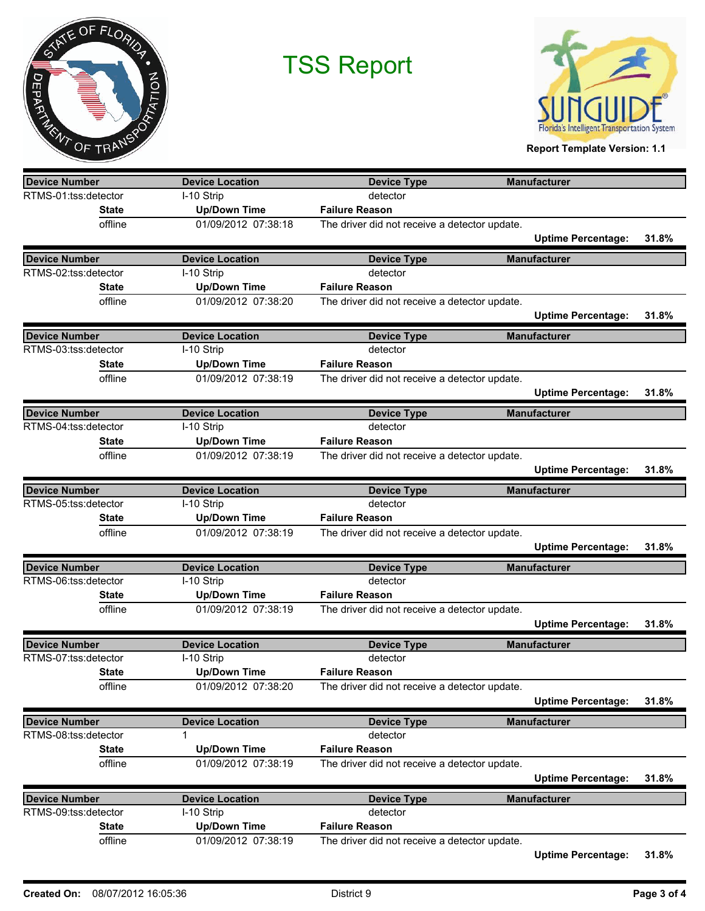



**Report Template Version: 1.1**

| <b>Device Number</b>                         | <b>Device Location</b>               | <b>Device Type</b>                            | <b>Manufacturer</b>       |       |
|----------------------------------------------|--------------------------------------|-----------------------------------------------|---------------------------|-------|
| RTMS-01:tss:detector                         | I-10 Strip                           | detector                                      |                           |       |
| <b>State</b>                                 | <b>Up/Down Time</b>                  | <b>Failure Reason</b>                         |                           |       |
| offline                                      | 01/09/2012 07:38:18                  | The driver did not receive a detector update. |                           |       |
|                                              |                                      |                                               | <b>Uptime Percentage:</b> | 31.8% |
| <b>Device Number</b>                         | <b>Device Location</b>               | <b>Device Type</b>                            | <b>Manufacturer</b>       |       |
| RTMS-02:tss:detector                         | I-10 Strip                           | detector                                      |                           |       |
| <b>State</b>                                 | <b>Up/Down Time</b>                  | <b>Failure Reason</b>                         |                           |       |
| offline                                      | 01/09/2012 07:38:20                  | The driver did not receive a detector update. |                           |       |
|                                              |                                      |                                               | <b>Uptime Percentage:</b> | 31.8% |
| <b>Device Number</b>                         | <b>Device Location</b>               | <b>Device Type</b>                            | <b>Manufacturer</b>       |       |
| RTMS-03:tss:detector                         | I-10 Strip                           | detector                                      |                           |       |
| <b>State</b>                                 | <b>Up/Down Time</b>                  | <b>Failure Reason</b>                         |                           |       |
| offline                                      | 01/09/2012 07:38:19                  | The driver did not receive a detector update. |                           |       |
|                                              |                                      |                                               | <b>Uptime Percentage:</b> | 31.8% |
| Device Number                                | <b>Device Location</b>               | <b>Device Type</b>                            | <b>Manufacturer</b>       |       |
| RTMS-04:tss:detector                         | I-10 Strip                           | detector                                      |                           |       |
| <b>State</b>                                 | <b>Up/Down Time</b>                  | <b>Failure Reason</b>                         |                           |       |
| offline                                      | 01/09/2012 07:38:19                  | The driver did not receive a detector update. |                           |       |
|                                              |                                      |                                               | <b>Uptime Percentage:</b> | 31.8% |
|                                              |                                      |                                               |                           |       |
| Device Number<br>RTMS-05:tss:detector        | <b>Device Location</b><br>I-10 Strip | <b>Device Type</b><br>detector                | <b>Manufacturer</b>       |       |
| <b>State</b>                                 | <b>Up/Down Time</b>                  | <b>Failure Reason</b>                         |                           |       |
| offline                                      | 01/09/2012 07:38:19                  | The driver did not receive a detector update. |                           |       |
|                                              |                                      |                                               | <b>Uptime Percentage:</b> | 31.8% |
|                                              |                                      |                                               |                           |       |
| <b>Device Number</b><br>RTMS-06:tss:detector | <b>Device Location</b>               | <b>Device Type</b><br>detector                | <b>Manufacturer</b>       |       |
|                                              | I-10 Strip                           |                                               |                           |       |
| <b>State</b>                                 | <b>Up/Down Time</b>                  | <b>Failure Reason</b>                         |                           |       |
| offline                                      | 01/09/2012 07:38:19                  | The driver did not receive a detector update. |                           |       |
|                                              |                                      |                                               | <b>Uptime Percentage:</b> | 31.8% |
| <b>Device Number</b>                         | <b>Device Location</b>               | <b>Device Type</b>                            | <b>Manufacturer</b>       |       |
| RTMS-07:tss:detector                         | I-10 Strip                           | detector                                      |                           |       |
| <b>State</b>                                 | <b>Up/Down Time</b>                  | <b>Failure Reason</b>                         |                           |       |
| offline                                      | 01/09/2012 07:38:20                  | The driver did not receive a detector update. |                           |       |
|                                              |                                      |                                               | <b>Uptime Percentage:</b> | 31.8% |
| <b>Device Number</b>                         | <b>Device Location</b>               | <b>Device Type</b>                            | <b>Manufacturer</b>       |       |
| RTMS-08:tss:detector                         | 1                                    | detector                                      |                           |       |
| <b>State</b>                                 | <b>Up/Down Time</b>                  | <b>Failure Reason</b>                         |                           |       |
| offline                                      | 01/09/2012 07:38:19                  | The driver did not receive a detector update. |                           |       |
|                                              |                                      |                                               | <b>Uptime Percentage:</b> | 31.8% |
| <b>Device Number</b>                         | <b>Device Location</b>               | <b>Device Type</b>                            | <b>Manufacturer</b>       |       |
| RTMS-09:tss:detector                         | I-10 Strip                           | detector                                      |                           |       |
| <b>State</b>                                 | <b>Up/Down Time</b>                  | <b>Failure Reason</b>                         |                           |       |
| offline                                      | 01/09/2012 07:38:19                  | The driver did not receive a detector update. |                           |       |
|                                              |                                      |                                               | <b>Uptime Percentage:</b> | 31.8% |